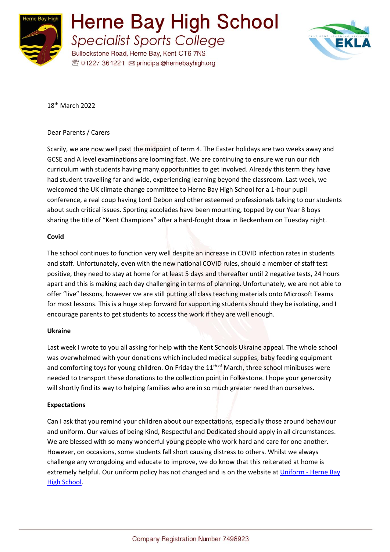

Herne Bay High School **Specialist Sports College** 

Bullockstone Road, Herne Bay, Kent CT6 7NS <sup>®</sup> 01227 361221 <br> principal@hernebayhigh.org



18th March 2022

## Dear Parents / Carers

Scarily, we are now well past the midpoint of term 4. The Easter holidays are two weeks away and GCSE and A level examinations are looming fast. We are continuing to ensure we run our rich curriculum with students having many opportunities to get involved. Already this term they have had student travelling far and wide, experiencing learning beyond the classroom. Last week, we welcomed the UK climate change committee to Herne Bay High School for a 1-hour pupil conference, a real coup having Lord Debon and other esteemed professionals talking to our students about such critical issues. Sporting accolades have been mounting, topped by our Year 8 boys sharing the title of "Kent Champions" after a hard-fought draw in Beckenham on Tuesday night.

## **Covid**

The school continues to function very well despite an increase in COVID infection rates in students and staff. Unfortunately, even with the new national COVID rules, should a member of staff test positive, they need to stay at home for at least 5 days and thereafter until 2 negative tests, 24 hours apart and this is making each day challenging in terms of planning. Unfortunately, we are not able to offer "live" lessons, however we are still putting all class teaching materials onto Microsoft Teams for most lessons. This is a huge step forward for supporting students should they be isolating, and I encourage parents to get students to access the work if they are well enough.

### **Ukraine**

Last week I wrote to you all asking for help with the Kent Schools Ukraine appeal. The whole school was overwhelmed with your donations which included medical supplies, baby feeding equipment and comforting toys for young children. On Friday the  $11<sup>th of</sup>$  March, three school minibuses were needed to transport these donations to the collection point in Folkestone. I hope your generosity will shortly find its way to helping families who are in so much greater need than ourselves.

# **Expectations**

Can I ask that you remind your children about our expectations, especially those around behaviour and uniform. Our values of being Kind, Respectful and Dedicated should apply in all circumstances. We are blessed with so many wonderful young people who work hard and care for one another. However, on occasions, some students fall short causing distress to others. Whilst we always challenge any wrongdoing and educate to improve, we do know that this reiterated at home is extremely helpful. Our uniform policy has not changed and is on the website at Uniform - [Herne Bay](https://www.hernebayhigh.org/our-school/uniform/)  [High School.](https://www.hernebayhigh.org/our-school/uniform/)